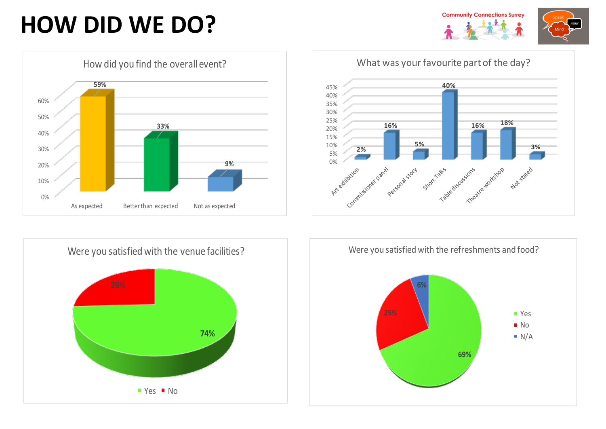## **HOW DID WE DO?**